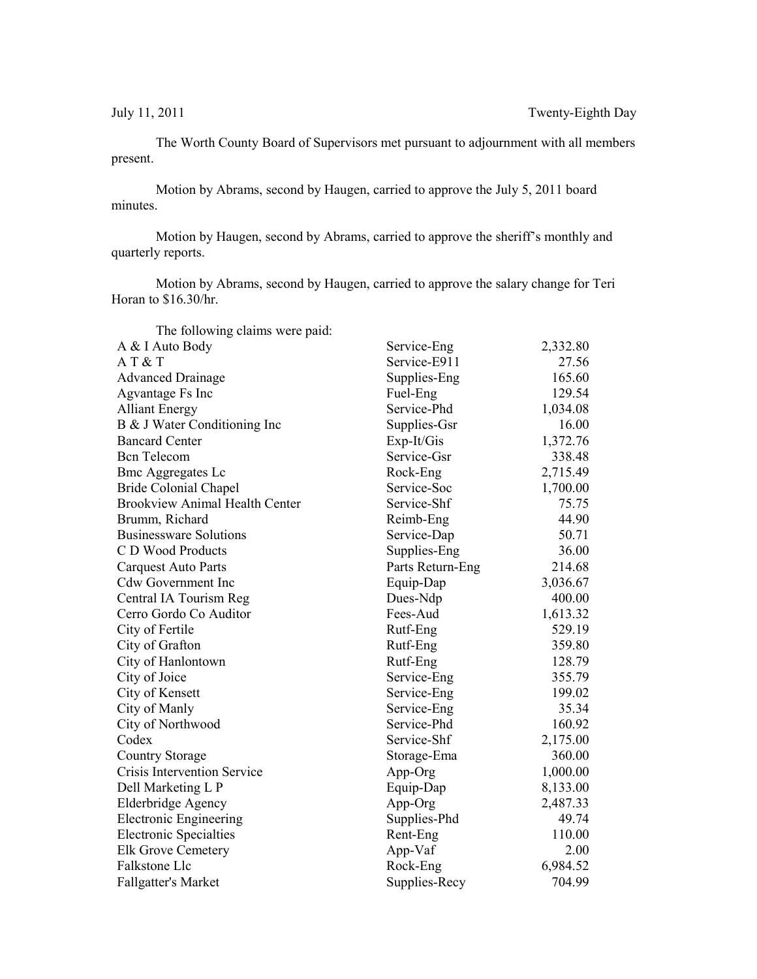The Worth County Board of Supervisors met pursuant to adjournment with all members present.

Motion by Abrams, second by Haugen, carried to approve the July 5, 2011 board minutes.

Motion by Haugen, second by Abrams, carried to approve the sheriff's monthly and quarterly reports.

Motion by Abrams, second by Haugen, carried to approve the salary change for Teri Horan to \$16.30/hr.

| The following claims were paid:       |                  |          |
|---------------------------------------|------------------|----------|
| A & I Auto Body                       | Service-Eng      | 2,332.80 |
| AT & T                                | Service-E911     | 27.56    |
| <b>Advanced Drainage</b>              | Supplies-Eng     | 165.60   |
| Agvantage Fs Inc                      | Fuel-Eng         | 129.54   |
| <b>Alliant Energy</b>                 | Service-Phd      | 1,034.08 |
| B & J Water Conditioning Inc          | Supplies-Gsr     | 16.00    |
| <b>Bancard Center</b>                 | Exp-It/Gis       | 1,372.76 |
| <b>Bcn</b> Telecom                    | Service-Gsr      | 338.48   |
| <b>Bmc Aggregates Lc</b>              | Rock-Eng         | 2,715.49 |
| <b>Bride Colonial Chapel</b>          | Service-Soc      | 1,700.00 |
| <b>Brookview Animal Health Center</b> | Service-Shf      | 75.75    |
| Brumm, Richard                        | Reimb-Eng        | 44.90    |
| <b>Businessware Solutions</b>         | Service-Dap      | 50.71    |
| C D Wood Products                     | Supplies-Eng     | 36.00    |
| <b>Carquest Auto Parts</b>            | Parts Return-Eng | 214.68   |
| Cdw Government Inc                    | Equip-Dap        | 3,036.67 |
| Central IA Tourism Reg                | Dues-Ndp         | 400.00   |
| Cerro Gordo Co Auditor                | Fees-Aud         | 1,613.32 |
| City of Fertile                       | Rutf-Eng         | 529.19   |
| City of Grafton                       | Rutf-Eng         | 359.80   |
| City of Hanlontown                    | Rutf-Eng         | 128.79   |
| City of Joice                         | Service-Eng      | 355.79   |
| City of Kensett                       | Service-Eng      | 199.02   |
| City of Manly                         | Service-Eng      | 35.34    |
| City of Northwood                     | Service-Phd      | 160.92   |
| Codex                                 | Service-Shf      | 2,175.00 |
| <b>Country Storage</b>                | Storage-Ema      | 360.00   |
| Crisis Intervention Service           | App-Org          | 1,000.00 |
| Dell Marketing L P                    | Equip-Dap        | 8,133.00 |
| Elderbridge Agency                    | App-Org          | 2,487.33 |
| <b>Electronic Engineering</b>         | Supplies-Phd     | 49.74    |
| <b>Electronic Specialties</b>         | Rent-Eng         | 110.00   |
| <b>Elk Grove Cemetery</b>             | App-Vaf          | 2.00     |
| Falkstone Llc                         | Rock-Eng         | 6,984.52 |
| <b>Fallgatter's Market</b>            | Supplies-Recy    | 704.99   |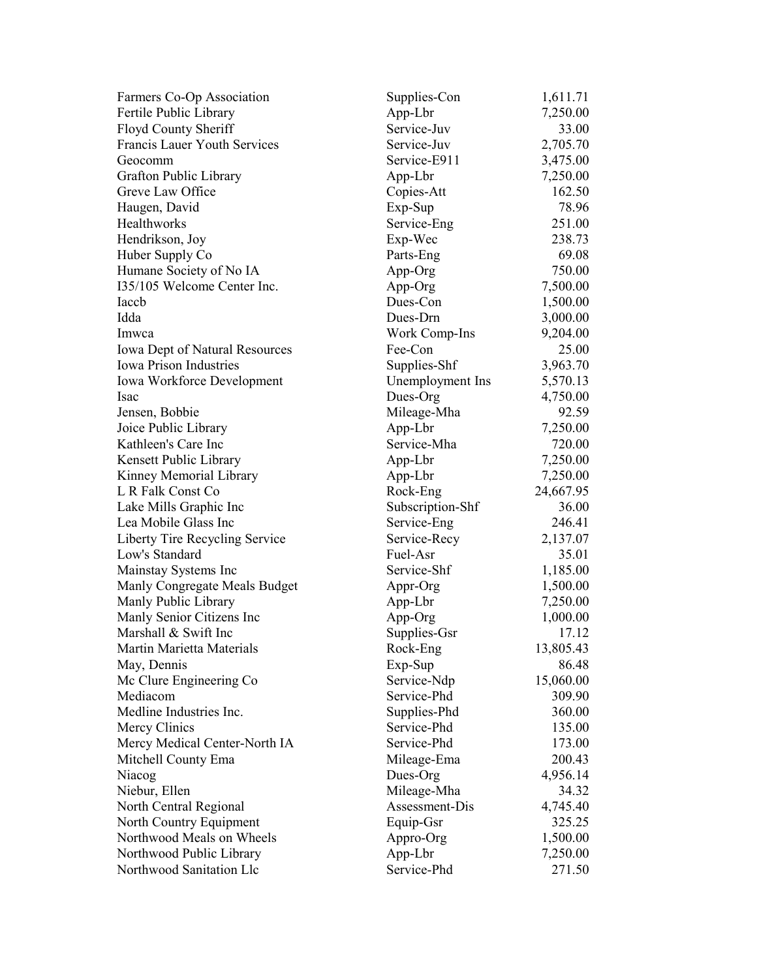| Farmers Co-Op Association             | Supplies-Con     | 1,611.71  |
|---------------------------------------|------------------|-----------|
| Fertile Public Library                | App-Lbr          | 7,250.00  |
| Floyd County Sheriff                  | Service-Juv      | 33.00     |
| Francis Lauer Youth Services          | Service-Juv      | 2,705.70  |
| Geocomm                               | Service-E911     | 3,475.00  |
| Grafton Public Library                | App-Lbr          | 7,250.00  |
| Greve Law Office                      | Copies-Att       | 162.50    |
| Haugen, David                         | Exp-Sup          | 78.96     |
| Healthworks                           | Service-Eng      | 251.00    |
| Hendrikson, Joy                       | Exp-Wec          | 238.73    |
| Huber Supply Co                       | Parts-Eng        | 69.08     |
| Humane Society of No IA               | App-Org          | 750.00    |
| 135/105 Welcome Center Inc.           | App-Org          | 7,500.00  |
| Iaccb                                 | Dues-Con         | 1,500.00  |
| Idda                                  | Dues-Drn         | 3,000.00  |
| Imwca                                 | Work Comp-Ins    | 9,204.00  |
| <b>Iowa Dept of Natural Resources</b> | Fee-Con          | 25.00     |
| Iowa Prison Industries                | Supplies-Shf     | 3,963.70  |
| Iowa Workforce Development            | Unemployment Ins | 5,570.13  |
| <b>Isac</b>                           | Dues-Org         | 4,750.00  |
| Jensen, Bobbie                        | Mileage-Mha      | 92.59     |
| Joice Public Library                  | App-Lbr          | 7,250.00  |
| Kathleen's Care Inc                   | Service-Mha      | 720.00    |
| Kensett Public Library                | App-Lbr          | 7,250.00  |
| Kinney Memorial Library               | App-Lbr          | 7,250.00  |
| L R Falk Const Co                     | Rock-Eng         | 24,667.95 |
| Lake Mills Graphic Inc                | Subscription-Shf | 36.00     |
| Lea Mobile Glass Inc                  | Service-Eng      | 246.41    |
| Liberty Tire Recycling Service        | Service-Recy     | 2,137.07  |
| Low's Standard                        | Fuel-Asr         | 35.01     |
| Mainstay Systems Inc                  | Service-Shf      | 1,185.00  |
| Manly Congregate Meals Budget         | Appr-Org         | 1,500.00  |
| Manly Public Library                  | App-Lbr          | 7,250.00  |
| Manly Senior Citizens Inc             | App-Org          | 1,000.00  |
| Marshall & Swift Inc                  | Supplies-Gsr     | 17.12     |
| Martin Marietta Materials             | Rock-Eng         | 13,805.43 |
| May, Dennis                           | Exp-Sup          | 86.48     |
| Mc Clure Engineering Co               | Service-Ndp      | 15,060.00 |
| Mediacom                              | Service-Phd      | 309.90    |
| Medline Industries Inc.               | Supplies-Phd     | 360.00    |
| Mercy Clinics                         | Service-Phd      | 135.00    |
| Mercy Medical Center-North IA         | Service-Phd      | 173.00    |
| Mitchell County Ema                   | Mileage-Ema      | 200.43    |
| Niacog                                | Dues-Org         | 4,956.14  |
| Niebur, Ellen                         | Mileage-Mha      | 34.32     |
| North Central Regional                | Assessment-Dis   | 4,745.40  |
| North Country Equipment               | Equip-Gsr        | 325.25    |
| Northwood Meals on Wheels             | Appro-Org        | 1,500.00  |
| Northwood Public Library              | App-Lbr          | 7,250.00  |
| Northwood Sanitation Llc              | Service-Phd      | 271.50    |